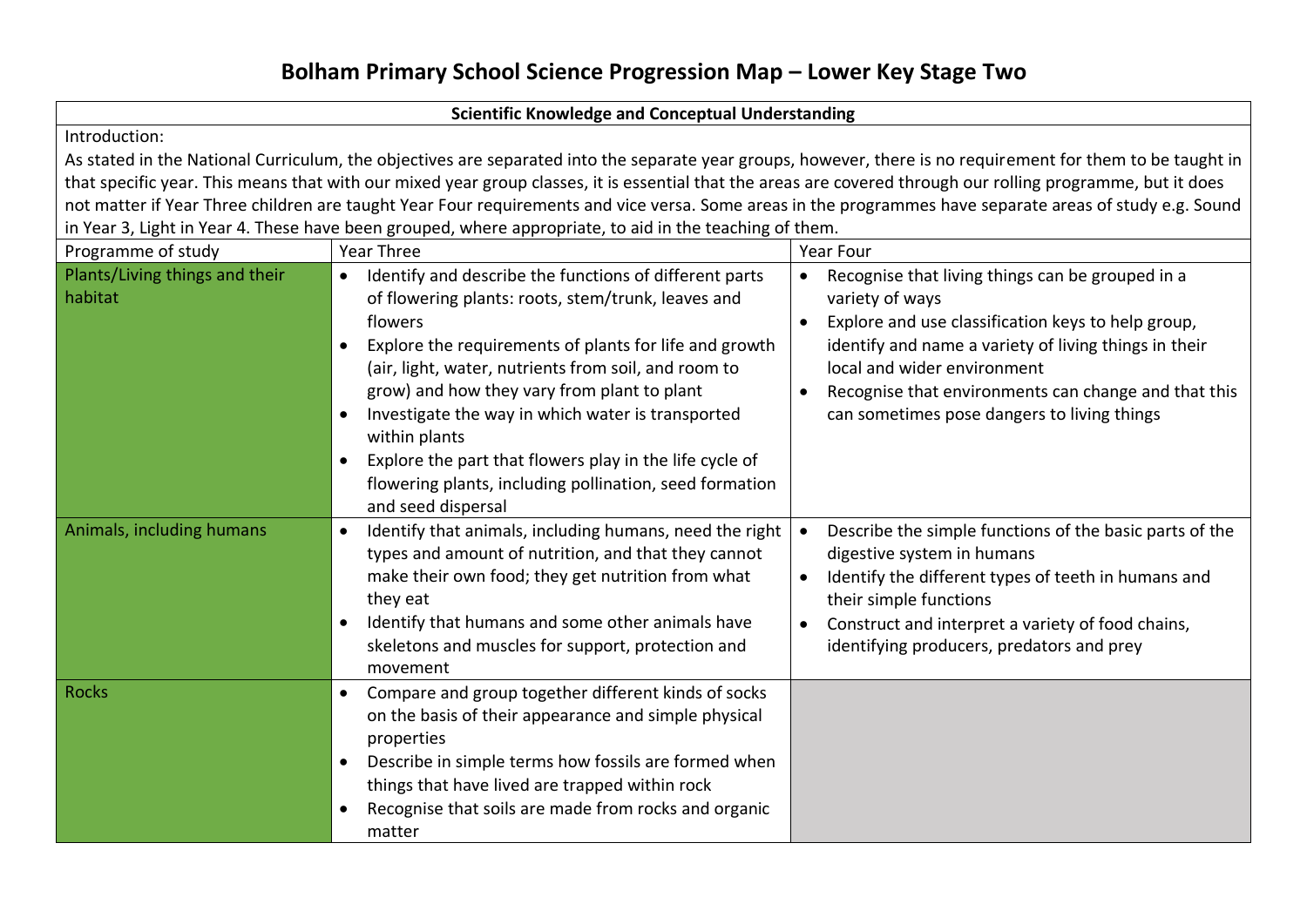# **Bolham Primary School Science Progression Map – Lower Key Stage Two**

#### **Scientific Knowledge and Conceptual Understanding**

Introduction:

As stated in the National Curriculum, the objectives are separated into the separate year groups, however, there is no requirement for them to be taught in that specific year. This means that with our mixed year group classes, it is essential that the areas are covered through our rolling programme, but it does not matter if Year Three children are taught Year Four requirements and vice versa. Some areas in the programmes have separate areas of study e.g. Sound in Year 3, Light in Year 4. These have been grouped, where appropriate, to aid in the teaching of them.

| Programme of study                        | <b>Year Three</b>                                                                                                                                                                                                                                                                                                                                                                                                                                                                                                                                              | <b>Year Four</b>                                                                                                                                                                                                                                                                                                         |
|-------------------------------------------|----------------------------------------------------------------------------------------------------------------------------------------------------------------------------------------------------------------------------------------------------------------------------------------------------------------------------------------------------------------------------------------------------------------------------------------------------------------------------------------------------------------------------------------------------------------|--------------------------------------------------------------------------------------------------------------------------------------------------------------------------------------------------------------------------------------------------------------------------------------------------------------------------|
| Plants/Living things and their<br>habitat | Identify and describe the functions of different parts<br>$\bullet$<br>of flowering plants: roots, stem/trunk, leaves and<br>flowers<br>Explore the requirements of plants for life and growth<br>$\bullet$<br>(air, light, water, nutrients from soil, and room to<br>grow) and how they vary from plant to plant<br>Investigate the way in which water is transported<br>$\bullet$<br>within plants<br>Explore the part that flowers play in the life cycle of<br>$\bullet$<br>flowering plants, including pollination, seed formation<br>and seed dispersal | Recognise that living things can be grouped in a<br>variety of ways<br>Explore and use classification keys to help group,<br>identify and name a variety of living things in their<br>local and wider environment<br>Recognise that environments can change and that this<br>can sometimes pose dangers to living things |
| Animals, including humans                 | Identify that animals, including humans, need the right<br>$\bullet$<br>types and amount of nutrition, and that they cannot<br>make their own food; they get nutrition from what<br>they eat<br>Identify that humans and some other animals have<br>$\bullet$<br>skeletons and muscles for support, protection and<br>movement                                                                                                                                                                                                                                 | Describe the simple functions of the basic parts of the<br>digestive system in humans<br>Identify the different types of teeth in humans and<br>their simple functions<br>Construct and interpret a variety of food chains,<br>identifying producers, predators and prey                                                 |
| <b>Rocks</b>                              | Compare and group together different kinds of socks<br>$\bullet$<br>on the basis of their appearance and simple physical<br>properties<br>Describe in simple terms how fossils are formed when<br>$\bullet$<br>things that have lived are trapped within rock<br>Recognise that soils are made from rocks and organic<br>$\bullet$<br>matter                                                                                                                                                                                                                   |                                                                                                                                                                                                                                                                                                                          |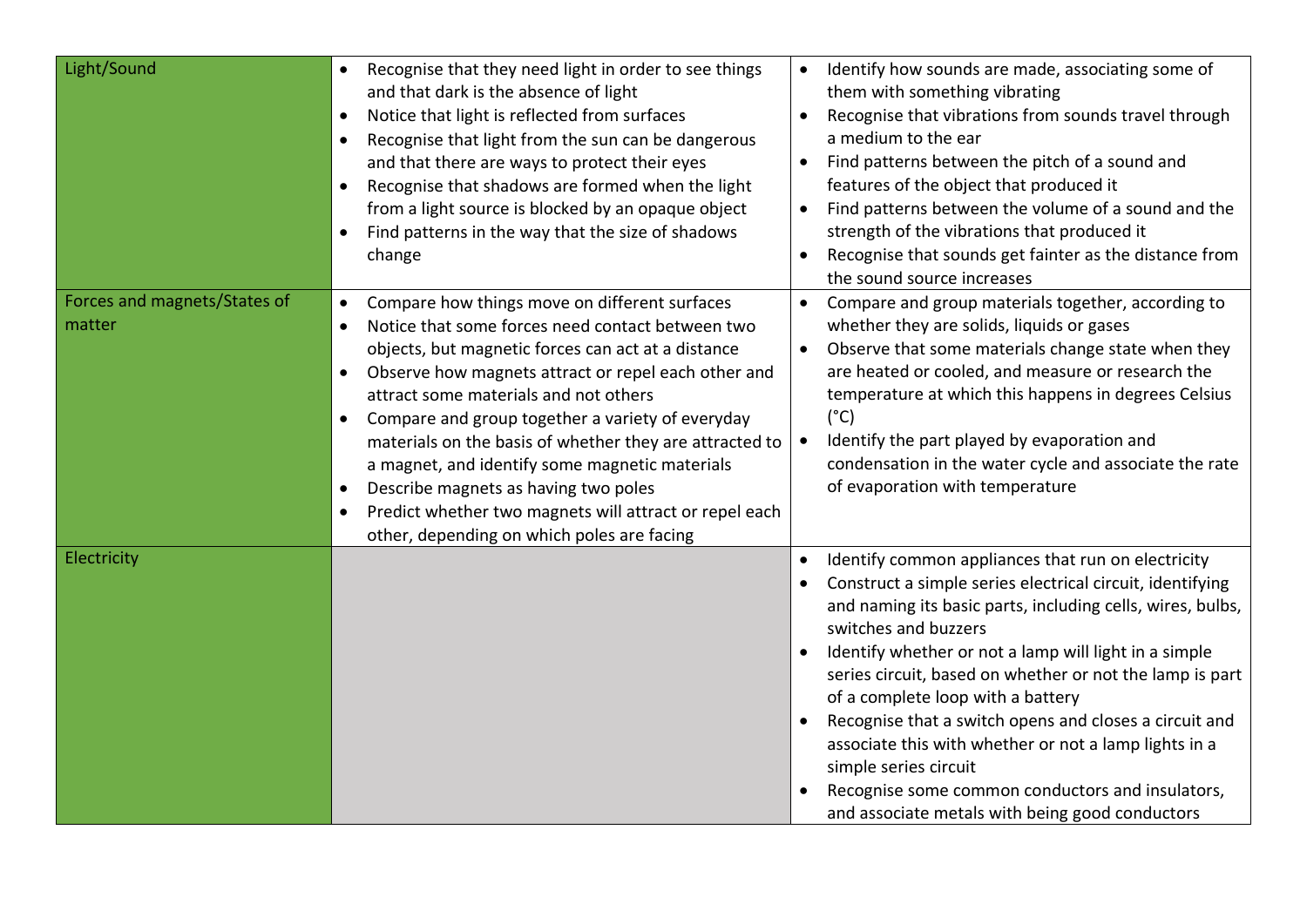| Light/Sound                            | Recognise that they need light in order to see things<br>$\bullet$<br>and that dark is the absence of light<br>Notice that light is reflected from surfaces<br>$\bullet$<br>Recognise that light from the sun can be dangerous<br>and that there are ways to protect their eyes<br>Recognise that shadows are formed when the light<br>$\bullet$<br>from a light source is blocked by an opaque object<br>Find patterns in the way that the size of shadows<br>$\bullet$<br>change                                                                                                                                                                     | Identify how sounds are made, associating some of<br>$\bullet$<br>them with something vibrating<br>Recognise that vibrations from sounds travel through<br>a medium to the ear<br>Find patterns between the pitch of a sound and<br>features of the object that produced it<br>Find patterns between the volume of a sound and the<br>$\bullet$<br>strength of the vibrations that produced it<br>Recognise that sounds get fainter as the distance from<br>$\bullet$<br>the sound source increases                                                                                                                |
|----------------------------------------|--------------------------------------------------------------------------------------------------------------------------------------------------------------------------------------------------------------------------------------------------------------------------------------------------------------------------------------------------------------------------------------------------------------------------------------------------------------------------------------------------------------------------------------------------------------------------------------------------------------------------------------------------------|--------------------------------------------------------------------------------------------------------------------------------------------------------------------------------------------------------------------------------------------------------------------------------------------------------------------------------------------------------------------------------------------------------------------------------------------------------------------------------------------------------------------------------------------------------------------------------------------------------------------|
| Forces and magnets/States of<br>matter | Compare how things move on different surfaces<br>$\bullet$<br>Notice that some forces need contact between two<br>$\bullet$<br>objects, but magnetic forces can act at a distance<br>Observe how magnets attract or repel each other and<br>$\bullet$<br>attract some materials and not others<br>Compare and group together a variety of everyday<br>$\bullet$<br>materials on the basis of whether they are attracted to<br>a magnet, and identify some magnetic materials<br>Describe magnets as having two poles<br>$\bullet$<br>Predict whether two magnets will attract or repel each<br>$\bullet$<br>other, depending on which poles are facing | Compare and group materials together, according to<br>$\bullet$<br>whether they are solids, liquids or gases<br>Observe that some materials change state when they<br>$\bullet$<br>are heated or cooled, and measure or research the<br>temperature at which this happens in degrees Celsius<br>$(^{\circ}C)$<br>Identify the part played by evaporation and<br>$\bullet$<br>condensation in the water cycle and associate the rate<br>of evaporation with temperature                                                                                                                                             |
| Electricity                            |                                                                                                                                                                                                                                                                                                                                                                                                                                                                                                                                                                                                                                                        | Identify common appliances that run on electricity<br>Construct a simple series electrical circuit, identifying<br>and naming its basic parts, including cells, wires, bulbs,<br>switches and buzzers<br>Identify whether or not a lamp will light in a simple<br>series circuit, based on whether or not the lamp is part<br>of a complete loop with a battery<br>Recognise that a switch opens and closes a circuit and<br>associate this with whether or not a lamp lights in a<br>simple series circuit<br>Recognise some common conductors and insulators,<br>and associate metals with being good conductors |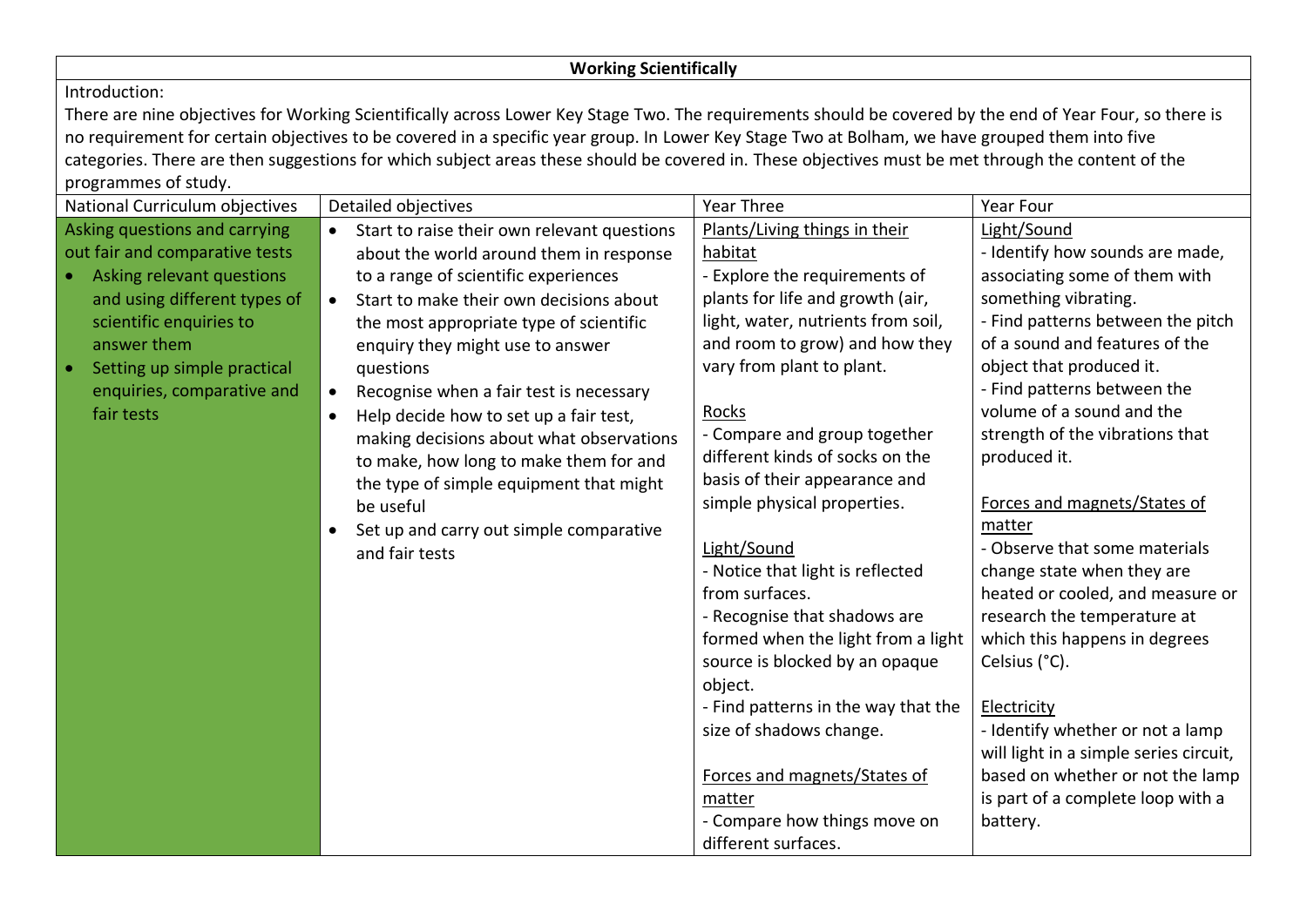## **Working Scientifically**

### Introduction:

There are nine objectives for Working Scientifically across Lower Key Stage Two. The requirements should be covered by the end of Year Four, so there is no requirement for certain objectives to be covered in a specific year group. In Lower Key Stage Two at Bolham, we have grouped them into five categories. There are then suggestions for which subject areas these should be covered in. These objectives must be met through the content of the programmes of study.

| National Curriculum objectives           | Detailed objectives                                  | Year Three                          | Year Four                              |
|------------------------------------------|------------------------------------------------------|-------------------------------------|----------------------------------------|
| Asking questions and carrying            | Start to raise their own relevant questions          | Plants/Living things in their       | Light/Sound                            |
| out fair and comparative tests           | about the world around them in response              | habitat                             | - Identify how sounds are made,        |
| • Asking relevant questions              | to a range of scientific experiences                 | - Explore the requirements of       | associating some of them with          |
| and using different types of             | Start to make their own decisions about              | plants for life and growth (air,    | something vibrating.                   |
| scientific enquiries to                  | the most appropriate type of scientific              | light, water, nutrients from soil,  | - Find patterns between the pitch      |
| answer them                              | enquiry they might use to answer                     | and room to grow) and how they      | of a sound and features of the         |
| Setting up simple practical<br>$\bullet$ | questions                                            | vary from plant to plant.           | object that produced it.               |
| enquiries, comparative and               | Recognise when a fair test is necessary<br>$\bullet$ |                                     | - Find patterns between the            |
| fair tests                               | Help decide how to set up a fair test,<br>$\bullet$  | <b>Rocks</b>                        | volume of a sound and the              |
|                                          | making decisions about what observations             | - Compare and group together        | strength of the vibrations that        |
|                                          | to make, how long to make them for and               | different kinds of socks on the     | produced it.                           |
|                                          | the type of simple equipment that might              | basis of their appearance and       |                                        |
|                                          | be useful                                            | simple physical properties.         | Forces and magnets/States of           |
|                                          | Set up and carry out simple comparative              |                                     | matter                                 |
|                                          | and fair tests                                       | Light/Sound                         | - Observe that some materials          |
|                                          |                                                      | - Notice that light is reflected    | change state when they are             |
|                                          |                                                      | from surfaces.                      | heated or cooled, and measure or       |
|                                          |                                                      | - Recognise that shadows are        | research the temperature at            |
|                                          |                                                      | formed when the light from a light  | which this happens in degrees          |
|                                          |                                                      | source is blocked by an opaque      | Celsius (°C).                          |
|                                          |                                                      | object.                             |                                        |
|                                          |                                                      | - Find patterns in the way that the | Electricity                            |
|                                          |                                                      | size of shadows change.             | - Identify whether or not a lamp       |
|                                          |                                                      |                                     | will light in a simple series circuit, |
|                                          |                                                      | Forces and magnets/States of        | based on whether or not the lamp       |
|                                          |                                                      | matter                              | is part of a complete loop with a      |
|                                          |                                                      | - Compare how things move on        | battery.                               |
|                                          |                                                      | different surfaces.                 |                                        |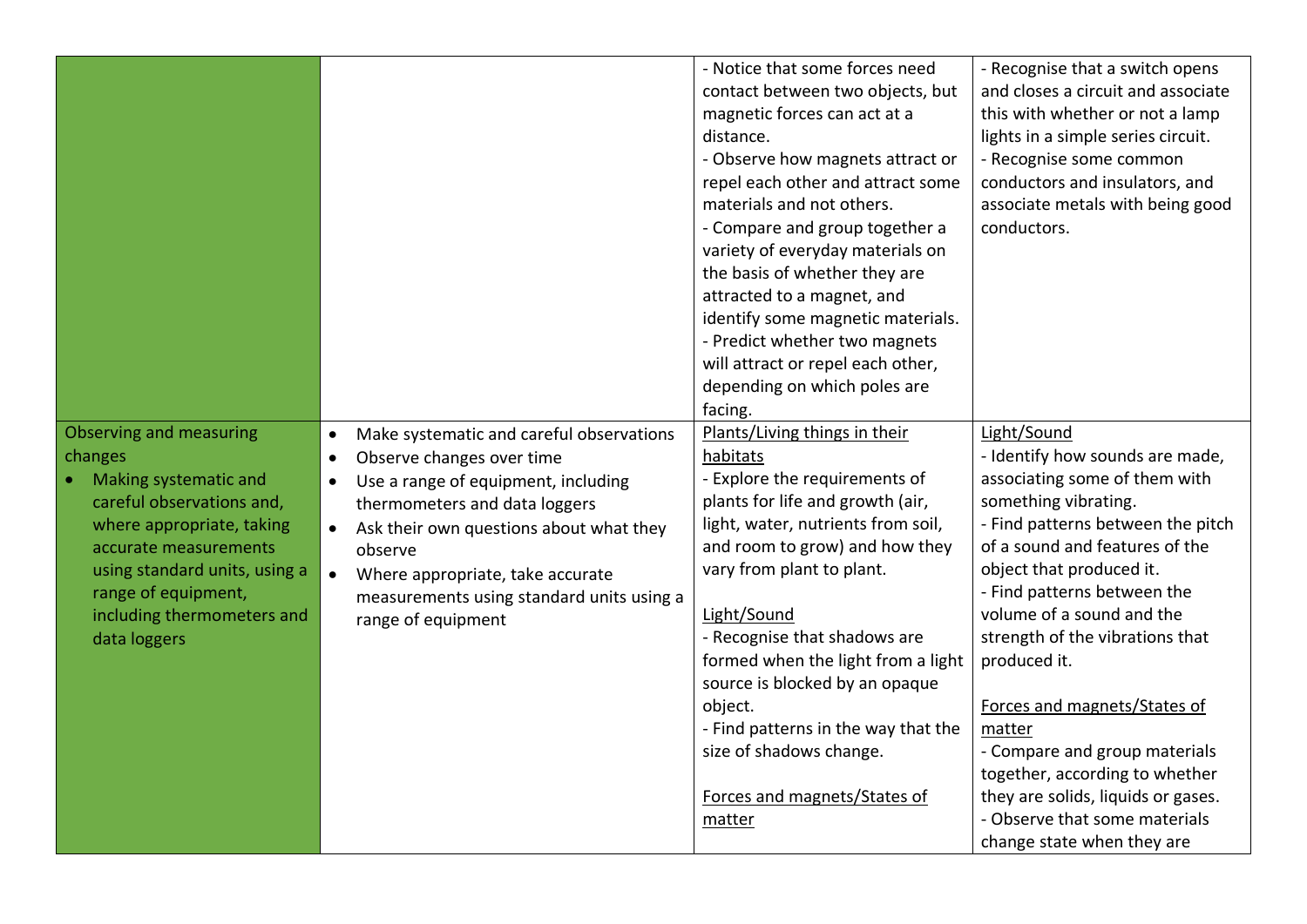|                                                                                                                                                                                                                                                                    |                                                                                                                                                                                                                                                                                                                                                                             | - Notice that some forces need<br>contact between two objects, but<br>magnetic forces can act at a<br>distance.<br>- Observe how magnets attract or<br>repel each other and attract some<br>materials and not others.<br>- Compare and group together a<br>variety of everyday materials on<br>the basis of whether they are<br>attracted to a magnet, and<br>identify some magnetic materials.<br>- Predict whether two magnets<br>will attract or repel each other,<br>depending on which poles are<br>facing. | - Recognise that a switch opens<br>and closes a circuit and associate<br>this with whether or not a lamp<br>lights in a simple series circuit.<br>- Recognise some common<br>conductors and insulators, and<br>associate metals with being good<br>conductors.                                                                                                                                                                                                                                                                              |
|--------------------------------------------------------------------------------------------------------------------------------------------------------------------------------------------------------------------------------------------------------------------|-----------------------------------------------------------------------------------------------------------------------------------------------------------------------------------------------------------------------------------------------------------------------------------------------------------------------------------------------------------------------------|------------------------------------------------------------------------------------------------------------------------------------------------------------------------------------------------------------------------------------------------------------------------------------------------------------------------------------------------------------------------------------------------------------------------------------------------------------------------------------------------------------------|---------------------------------------------------------------------------------------------------------------------------------------------------------------------------------------------------------------------------------------------------------------------------------------------------------------------------------------------------------------------------------------------------------------------------------------------------------------------------------------------------------------------------------------------|
| <b>Observing and measuring</b><br>changes<br><b>Making systematic and</b><br>careful observations and,<br>where appropriate, taking<br>accurate measurements<br>using standard units, using a<br>range of equipment,<br>including thermometers and<br>data loggers | Make systematic and careful observations<br>$\bullet$<br>Observe changes over time<br>$\bullet$<br>Use a range of equipment, including<br>$\bullet$<br>thermometers and data loggers<br>Ask their own questions about what they<br>$\bullet$<br>observe<br>Where appropriate, take accurate<br>$\bullet$<br>measurements using standard units using a<br>range of equipment | Plants/Living things in their<br>habitats<br>- Explore the requirements of<br>plants for life and growth (air,<br>light, water, nutrients from soil,<br>and room to grow) and how they<br>vary from plant to plant.<br>Light/Sound<br>- Recognise that shadows are<br>formed when the light from a light<br>source is blocked by an opaque<br>object.<br>- Find patterns in the way that the<br>size of shadows change.<br>Forces and magnets/States of<br>matter                                                | Light/Sound<br>- Identify how sounds are made,<br>associating some of them with<br>something vibrating.<br>- Find patterns between the pitch<br>of a sound and features of the<br>object that produced it.<br>- Find patterns between the<br>volume of a sound and the<br>strength of the vibrations that<br>produced it.<br>Forces and magnets/States of<br>matter<br>- Compare and group materials<br>together, according to whether<br>they are solids, liquids or gases.<br>- Observe that some materials<br>change state when they are |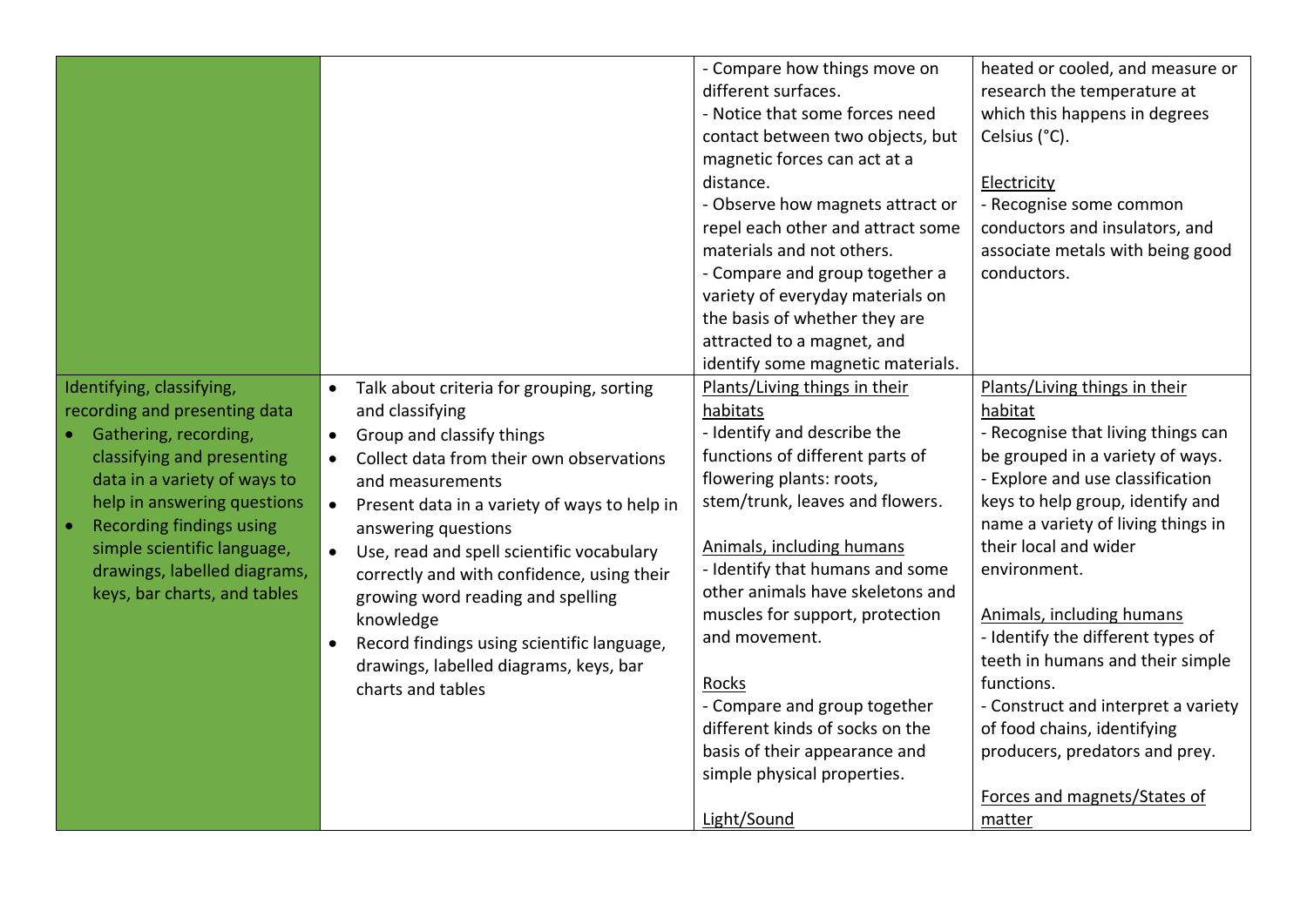|                                                                                                                                                                                                                                                                                                                    |                                                                                                                                                                                                                                                                                                                                                                                                                                                                                                                      | - Compare how things move on<br>different surfaces.<br>- Notice that some forces need<br>contact between two objects, but<br>magnetic forces can act at a<br>distance.<br>- Observe how magnets attract or<br>repel each other and attract some<br>materials and not others.<br>- Compare and group together a<br>variety of everyday materials on<br>the basis of whether they are<br>attracted to a magnet, and<br>identify some magnetic materials.                                        | heated or cooled, and measure or<br>research the temperature at<br>which this happens in degrees<br>Celsius (°C).<br>Electricity<br>- Recognise some common<br>conductors and insulators, and<br>associate metals with being good<br>conductors.                                                                                                                                                                                                                                                                                                |
|--------------------------------------------------------------------------------------------------------------------------------------------------------------------------------------------------------------------------------------------------------------------------------------------------------------------|----------------------------------------------------------------------------------------------------------------------------------------------------------------------------------------------------------------------------------------------------------------------------------------------------------------------------------------------------------------------------------------------------------------------------------------------------------------------------------------------------------------------|-----------------------------------------------------------------------------------------------------------------------------------------------------------------------------------------------------------------------------------------------------------------------------------------------------------------------------------------------------------------------------------------------------------------------------------------------------------------------------------------------|-------------------------------------------------------------------------------------------------------------------------------------------------------------------------------------------------------------------------------------------------------------------------------------------------------------------------------------------------------------------------------------------------------------------------------------------------------------------------------------------------------------------------------------------------|
| Identifying, classifying,<br>recording and presenting data<br>Gathering, recording,<br>classifying and presenting<br>data in a variety of ways to<br>help in answering questions<br><b>Recording findings using</b><br>simple scientific language,<br>drawings, labelled diagrams,<br>keys, bar charts, and tables | Talk about criteria for grouping, sorting<br>$\bullet$<br>and classifying<br>Group and classify things<br>Collect data from their own observations<br>and measurements<br>Present data in a variety of ways to help in<br>$\bullet$<br>answering questions<br>Use, read and spell scientific vocabulary<br>correctly and with confidence, using their<br>growing word reading and spelling<br>knowledge<br>Record findings using scientific language,<br>drawings, labelled diagrams, keys, bar<br>charts and tables | Plants/Living things in their<br>habitats<br>- Identify and describe the<br>functions of different parts of<br>flowering plants: roots,<br>stem/trunk, leaves and flowers.<br>Animals, including humans<br>- Identify that humans and some<br>other animals have skeletons and<br>muscles for support, protection<br>and movement.<br>Rocks<br>- Compare and group together<br>different kinds of socks on the<br>basis of their appearance and<br>simple physical properties.<br>Light/Sound | Plants/Living things in their<br>habitat<br>- Recognise that living things can<br>be grouped in a variety of ways.<br>- Explore and use classification<br>keys to help group, identify and<br>name a variety of living things in<br>their local and wider<br>environment.<br>Animals, including humans<br>- Identify the different types of<br>teeth in humans and their simple<br>functions.<br>- Construct and interpret a variety<br>of food chains, identifying<br>producers, predators and prey.<br>Forces and magnets/States of<br>matter |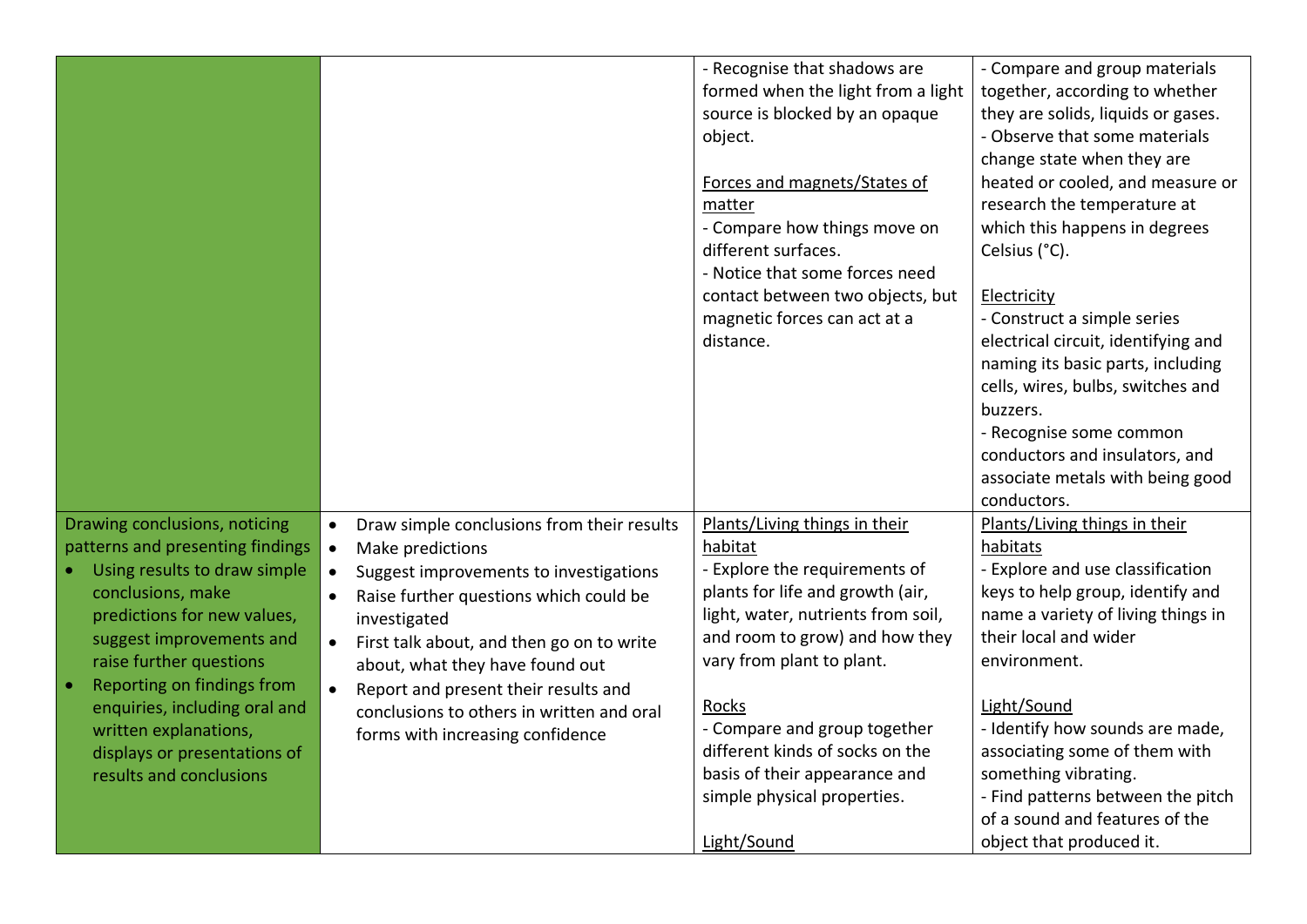|                                  |                                                         | - Recognise that shadows are       | - Compare and group materials       |
|----------------------------------|---------------------------------------------------------|------------------------------------|-------------------------------------|
|                                  |                                                         | formed when the light from a light | together, according to whether      |
|                                  |                                                         | source is blocked by an opaque     | they are solids, liquids or gases.  |
|                                  |                                                         | object.                            | - Observe that some materials       |
|                                  |                                                         |                                    | change state when they are          |
|                                  |                                                         | Forces and magnets/States of       | heated or cooled, and measure or    |
|                                  |                                                         | matter                             | research the temperature at         |
|                                  |                                                         | - Compare how things move on       | which this happens in degrees       |
|                                  |                                                         | different surfaces.                | Celsius (°C).                       |
|                                  |                                                         | - Notice that some forces need     |                                     |
|                                  |                                                         | contact between two objects, but   | Electricity                         |
|                                  |                                                         | magnetic forces can act at a       | - Construct a simple series         |
|                                  |                                                         | distance.                          | electrical circuit, identifying and |
|                                  |                                                         |                                    | naming its basic parts, including   |
|                                  |                                                         |                                    | cells, wires, bulbs, switches and   |
|                                  |                                                         |                                    | buzzers.                            |
|                                  |                                                         |                                    | - Recognise some common             |
|                                  |                                                         |                                    | conductors and insulators, and      |
|                                  |                                                         |                                    | associate metals with being good    |
|                                  |                                                         |                                    | conductors.                         |
| Drawing conclusions, noticing    | Draw simple conclusions from their results<br>$\bullet$ | Plants/Living things in their      | Plants/Living things in their       |
| patterns and presenting findings | Make predictions<br>$\bullet$                           | habitat                            | habitats                            |
| Using results to draw simple     | Suggest improvements to investigations<br>$\bullet$     | - Explore the requirements of      | - Explore and use classification    |
| conclusions, make                | Raise further questions which could be                  | plants for life and growth (air,   | keys to help group, identify and    |
| predictions for new values,      | investigated                                            | light, water, nutrients from soil, | name a variety of living things in  |
| suggest improvements and         |                                                         | and room to grow) and how they     | their local and wider               |
| raise further questions          | First talk about, and then go on to write<br>$\bullet$  | vary from plant to plant.          | environment.                        |
| Reporting on findings from       | about, what they have found out                         |                                    |                                     |
| enquiries, including oral and    | Report and present their results and                    | Rocks                              | Light/Sound                         |
| written explanations,            | conclusions to others in written and oral               | - Compare and group together       | - Identify how sounds are made,     |
| displays or presentations of     | forms with increasing confidence                        | different kinds of socks on the    | associating some of them with       |
| results and conclusions          |                                                         | basis of their appearance and      | something vibrating.                |
|                                  |                                                         | simple physical properties.        | - Find patterns between the pitch   |
|                                  |                                                         |                                    | of a sound and features of the      |
|                                  |                                                         | Light/Sound                        | object that produced it.            |
|                                  |                                                         |                                    |                                     |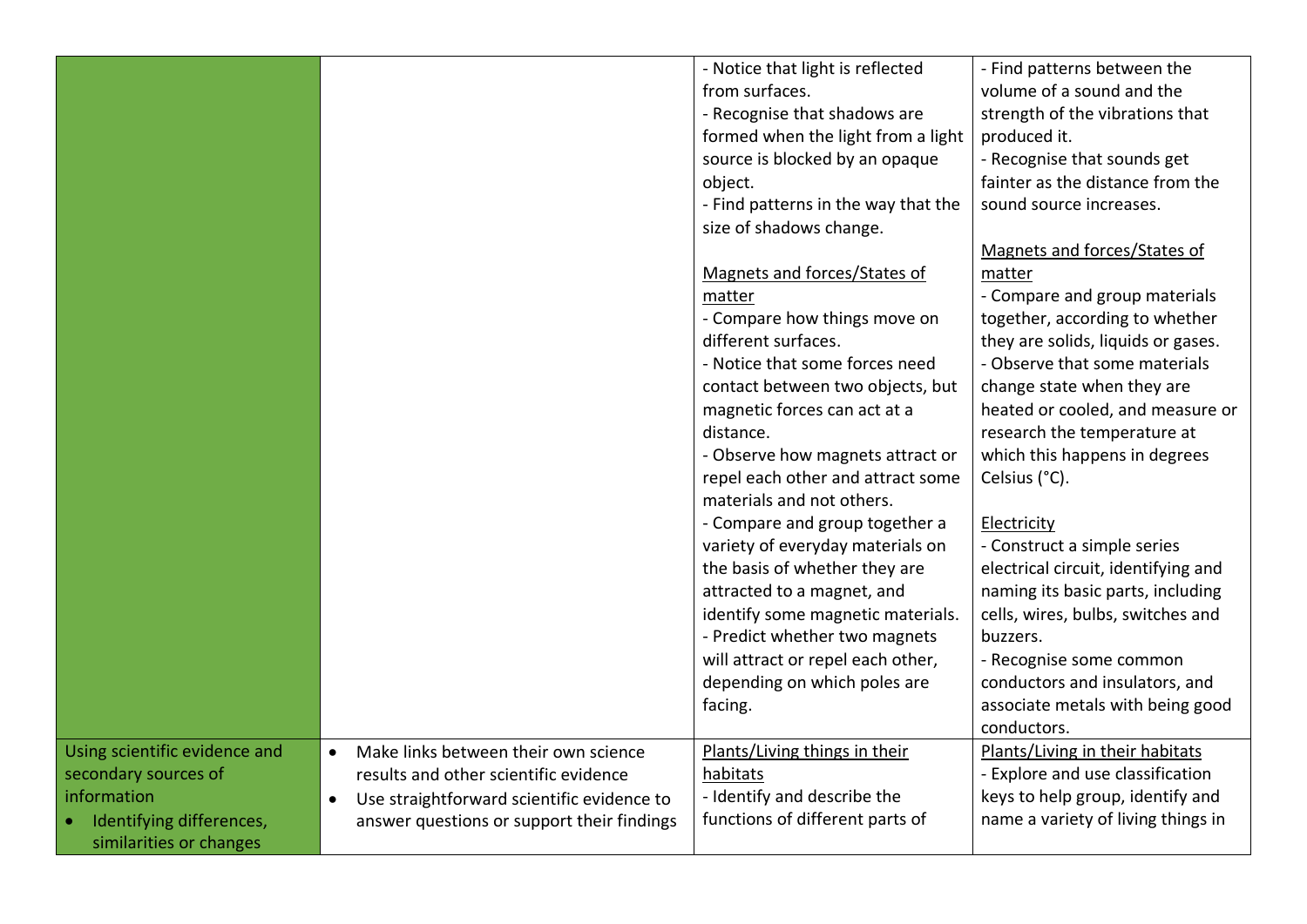|                               |                                                         | - Notice that light is reflected    | - Find patterns between the         |
|-------------------------------|---------------------------------------------------------|-------------------------------------|-------------------------------------|
|                               |                                                         | from surfaces.                      | volume of a sound and the           |
|                               |                                                         | - Recognise that shadows are        | strength of the vibrations that     |
|                               |                                                         | formed when the light from a light  | produced it.                        |
|                               |                                                         | source is blocked by an opaque      | - Recognise that sounds get         |
|                               |                                                         | object.                             | fainter as the distance from the    |
|                               |                                                         | - Find patterns in the way that the | sound source increases.             |
|                               |                                                         | size of shadows change.             |                                     |
|                               |                                                         |                                     | Magnets and forces/States of        |
|                               |                                                         | Magnets and forces/States of        | matter                              |
|                               |                                                         | matter                              | - Compare and group materials       |
|                               |                                                         | - Compare how things move on        | together, according to whether      |
|                               |                                                         | different surfaces.                 | they are solids, liquids or gases.  |
|                               |                                                         | - Notice that some forces need      | - Observe that some materials       |
|                               |                                                         | contact between two objects, but    | change state when they are          |
|                               |                                                         | magnetic forces can act at a        | heated or cooled, and measure or    |
|                               |                                                         | distance.                           | research the temperature at         |
|                               |                                                         | - Observe how magnets attract or    | which this happens in degrees       |
|                               |                                                         | repel each other and attract some   | Celsius (°C).                       |
|                               |                                                         | materials and not others.           |                                     |
|                               |                                                         | - Compare and group together a      | Electricity                         |
|                               |                                                         | variety of everyday materials on    | - Construct a simple series         |
|                               |                                                         | the basis of whether they are       | electrical circuit, identifying and |
|                               |                                                         | attracted to a magnet, and          | naming its basic parts, including   |
|                               |                                                         | identify some magnetic materials.   | cells, wires, bulbs, switches and   |
|                               |                                                         | - Predict whether two magnets       | buzzers.                            |
|                               |                                                         | will attract or repel each other,   | - Recognise some common             |
|                               |                                                         | depending on which poles are        | conductors and insulators, and      |
|                               |                                                         | facing.                             | associate metals with being good    |
|                               |                                                         |                                     | conductors.                         |
| Using scientific evidence and | Make links between their own science<br>$\bullet$       | Plants/Living things in their       | Plants/Living in their habitats     |
| secondary sources of          | results and other scientific evidence                   | habitats                            | - Explore and use classification    |
| information                   | Use straightforward scientific evidence to<br>$\bullet$ | - Identify and describe the         | keys to help group, identify and    |
| Identifying differences,      | answer questions or support their findings              | functions of different parts of     | name a variety of living things in  |
| similarities or changes       |                                                         |                                     |                                     |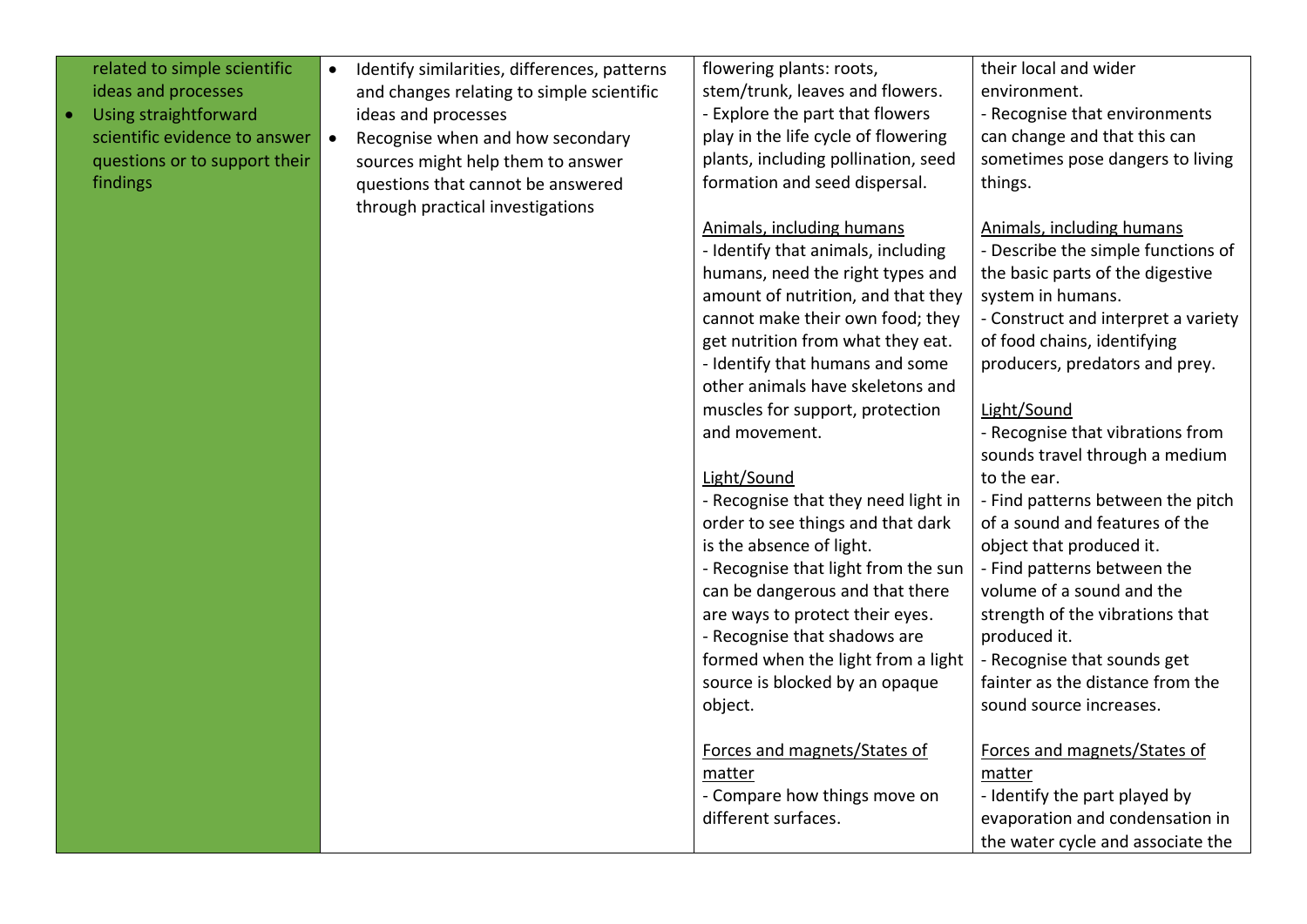| related to simple scientific  | Identify similarities, differences, patterns<br>$\bullet$ | flowering plants: roots,            | their local and wider               |
|-------------------------------|-----------------------------------------------------------|-------------------------------------|-------------------------------------|
| ideas and processes           | and changes relating to simple scientific                 | stem/trunk, leaves and flowers.     | environment.                        |
| Using straightforward         | ideas and processes                                       | - Explore the part that flowers     | - Recognise that environments       |
| scientific evidence to answer | Recognise when and how secondary<br>$\bullet$             | play in the life cycle of flowering | can change and that this can        |
| questions or to support their | sources might help them to answer                         | plants, including pollination, seed | sometimes pose dangers to living    |
| findings                      | questions that cannot be answered                         | formation and seed dispersal.       | things.                             |
|                               | through practical investigations                          |                                     |                                     |
|                               |                                                           | Animals, including humans           | <b>Animals, including humans</b>    |
|                               |                                                           | - Identify that animals, including  | - Describe the simple functions of  |
|                               |                                                           | humans, need the right types and    | the basic parts of the digestive    |
|                               |                                                           | amount of nutrition, and that they  | system in humans.                   |
|                               |                                                           | cannot make their own food; they    | - Construct and interpret a variety |
|                               |                                                           | get nutrition from what they eat.   | of food chains, identifying         |
|                               |                                                           | - Identify that humans and some     | producers, predators and prey.      |
|                               |                                                           | other animals have skeletons and    |                                     |
|                               |                                                           | muscles for support, protection     | Light/Sound                         |
|                               |                                                           | and movement.                       | - Recognise that vibrations from    |
|                               |                                                           |                                     | sounds travel through a medium      |
|                               |                                                           | Light/Sound                         | to the ear.                         |
|                               |                                                           | - Recognise that they need light in | - Find patterns between the pitch   |
|                               |                                                           | order to see things and that dark   | of a sound and features of the      |
|                               |                                                           | is the absence of light.            | object that produced it.            |
|                               |                                                           | - Recognise that light from the sun | - Find patterns between the         |
|                               |                                                           | can be dangerous and that there     | volume of a sound and the           |
|                               |                                                           | are ways to protect their eyes.     | strength of the vibrations that     |
|                               |                                                           | - Recognise that shadows are        | produced it.                        |
|                               |                                                           | formed when the light from a light  | - Recognise that sounds get         |
|                               |                                                           | source is blocked by an opaque      | fainter as the distance from the    |
|                               |                                                           | object.                             | sound source increases.             |
|                               |                                                           |                                     |                                     |
|                               |                                                           | Forces and magnets/States of        | Forces and magnets/States of        |
|                               |                                                           | matter                              | matter                              |
|                               |                                                           | - Compare how things move on        | - Identify the part played by       |
|                               |                                                           | different surfaces.                 | evaporation and condensation in     |
|                               |                                                           |                                     | the water cycle and associate the   |

 $\bullet$  Using Using Straightforward straightforward  $\bullet$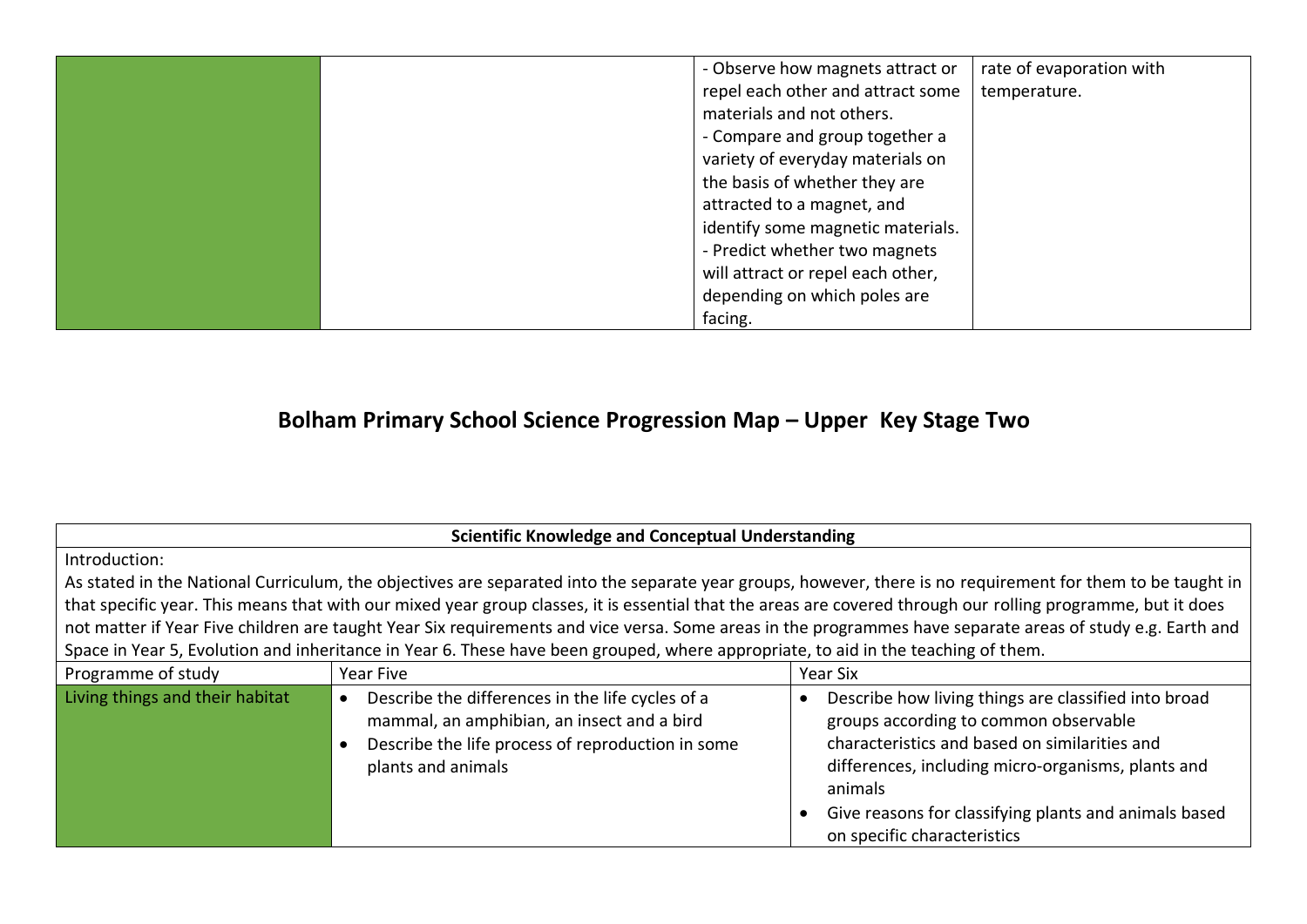| - Observe how magnets attract or  | rate of evaporation with |
|-----------------------------------|--------------------------|
| repel each other and attract some | temperature.             |
| materials and not others.         |                          |
| - Compare and group together a    |                          |
| variety of everyday materials on  |                          |
| the basis of whether they are     |                          |
| attracted to a magnet, and        |                          |
| identify some magnetic materials. |                          |
| - Predict whether two magnets     |                          |
| will attract or repel each other, |                          |
| depending on which poles are      |                          |
| facing.                           |                          |

# **Bolham Primary School Science Progression Map – Upper Key Stage Two**

|                                 | <b>Scientific Knowledge and Conceptual Understanding</b>                                                                                                                  |                                                                                                                                                                                                                                                                                                         |
|---------------------------------|---------------------------------------------------------------------------------------------------------------------------------------------------------------------------|---------------------------------------------------------------------------------------------------------------------------------------------------------------------------------------------------------------------------------------------------------------------------------------------------------|
| Introduction:                   |                                                                                                                                                                           |                                                                                                                                                                                                                                                                                                         |
|                                 |                                                                                                                                                                           | As stated in the National Curriculum, the objectives are separated into the separate year groups, however, there is no requirement for them to be taught in                                                                                                                                             |
|                                 | that specific year. This means that with our mixed year group classes, it is essential that the areas are covered through our rolling programme, but it does              |                                                                                                                                                                                                                                                                                                         |
|                                 | not matter if Year Five children are taught Year Six requirements and vice versa. Some areas in the programmes have separate areas of study e.g. Earth and                |                                                                                                                                                                                                                                                                                                         |
|                                 | Space in Year 5, Evolution and inheritance in Year 6. These have been grouped, where appropriate, to aid in the teaching of them.                                         |                                                                                                                                                                                                                                                                                                         |
| Programme of study              | Year Five                                                                                                                                                                 | Year Six                                                                                                                                                                                                                                                                                                |
| Living things and their habitat | Describe the differences in the life cycles of a<br>mammal, an amphibian, an insect and a bird<br>Describe the life process of reproduction in some<br>plants and animals | Describe how living things are classified into broad<br>groups according to common observable<br>characteristics and based on similarities and<br>differences, including micro-organisms, plants and<br>animals<br>Give reasons for classifying plants and animals based<br>on specific characteristics |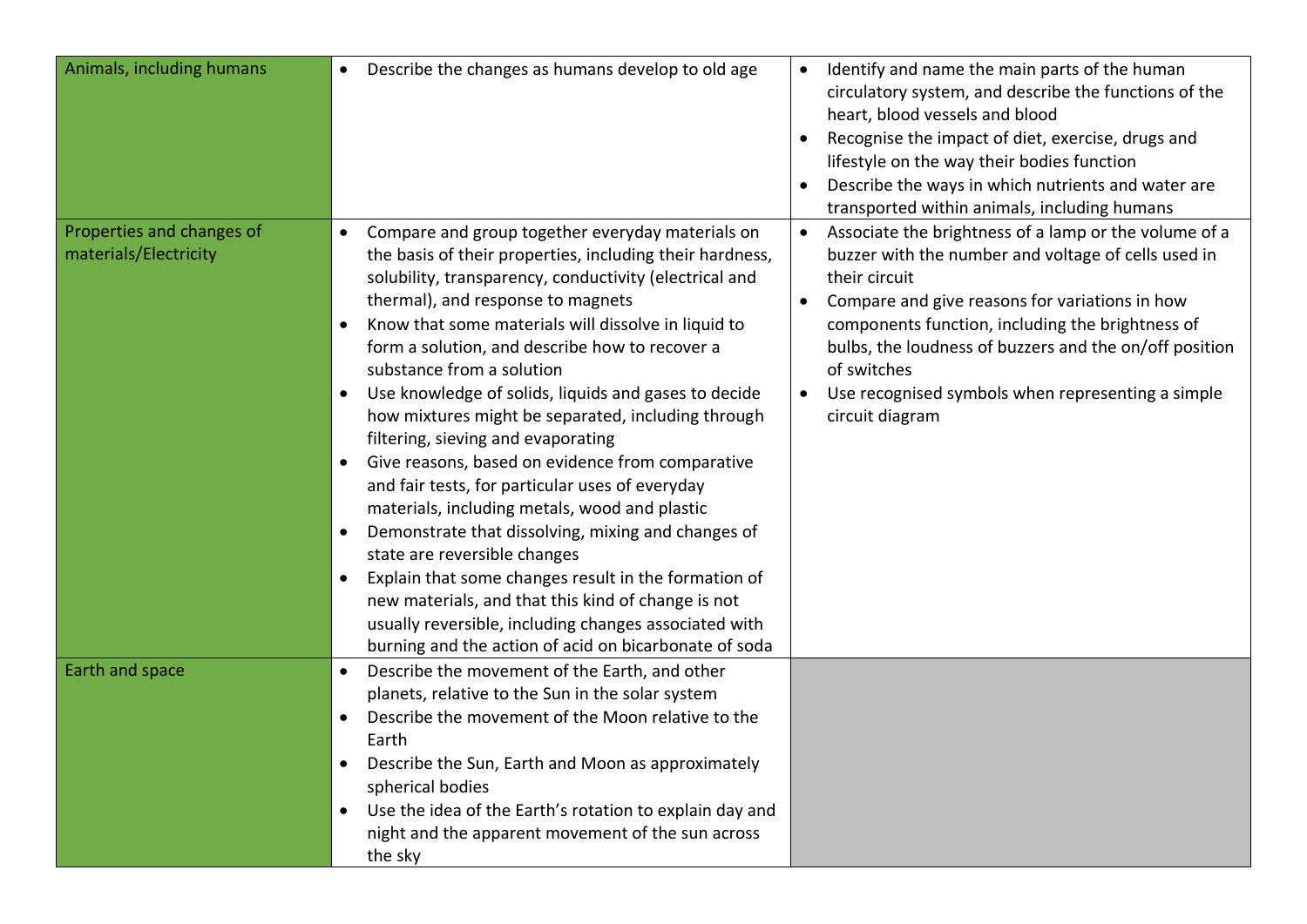| Animals, including humans                          | Describe the changes as humans develop to old age<br>$\bullet$                                                                                                                                                                                                                                                                                                                                                                                                                                                                                                                                                                                                                                                                                                                                                                                                                                                                                                                                                                                                    | Identify and name the main parts of the human<br>circulatory system, and describe the functions of the<br>heart, blood vessels and blood<br>Recognise the impact of diet, exercise, drugs and<br>lifestyle on the way their bodies function<br>Describe the ways in which nutrients and water are<br>transported within animals, including humans                                                                           |
|----------------------------------------------------|-------------------------------------------------------------------------------------------------------------------------------------------------------------------------------------------------------------------------------------------------------------------------------------------------------------------------------------------------------------------------------------------------------------------------------------------------------------------------------------------------------------------------------------------------------------------------------------------------------------------------------------------------------------------------------------------------------------------------------------------------------------------------------------------------------------------------------------------------------------------------------------------------------------------------------------------------------------------------------------------------------------------------------------------------------------------|-----------------------------------------------------------------------------------------------------------------------------------------------------------------------------------------------------------------------------------------------------------------------------------------------------------------------------------------------------------------------------------------------------------------------------|
| Properties and changes of<br>materials/Electricity | Compare and group together everyday materials on<br>$\bullet$<br>the basis of their properties, including their hardness,<br>solubility, transparency, conductivity (electrical and<br>thermal), and response to magnets<br>Know that some materials will dissolve in liquid to<br>$\bullet$<br>form a solution, and describe how to recover a<br>substance from a solution<br>Use knowledge of solids, liquids and gases to decide<br>$\bullet$<br>how mixtures might be separated, including through<br>filtering, sieving and evaporating<br>Give reasons, based on evidence from comparative<br>$\bullet$<br>and fair tests, for particular uses of everyday<br>materials, including metals, wood and plastic<br>Demonstrate that dissolving, mixing and changes of<br>$\bullet$<br>state are reversible changes<br>Explain that some changes result in the formation of<br>$\bullet$<br>new materials, and that this kind of change is not<br>usually reversible, including changes associated with<br>burning and the action of acid on bicarbonate of soda | Associate the brightness of a lamp or the volume of a<br>$\bullet$<br>buzzer with the number and voltage of cells used in<br>their circuit<br>Compare and give reasons for variations in how<br>$\bullet$<br>components function, including the brightness of<br>bulbs, the loudness of buzzers and the on/off position<br>of switches<br>Use recognised symbols when representing a simple<br>$\bullet$<br>circuit diagram |
| Earth and space                                    | Describe the movement of the Earth, and other<br>$\bullet$<br>planets, relative to the Sun in the solar system<br>Describe the movement of the Moon relative to the<br>$\bullet$<br>Earth<br>Describe the Sun, Earth and Moon as approximately<br>$\bullet$<br>spherical bodies<br>Use the idea of the Earth's rotation to explain day and<br>$\bullet$<br>night and the apparent movement of the sun across<br>the sky                                                                                                                                                                                                                                                                                                                                                                                                                                                                                                                                                                                                                                           |                                                                                                                                                                                                                                                                                                                                                                                                                             |